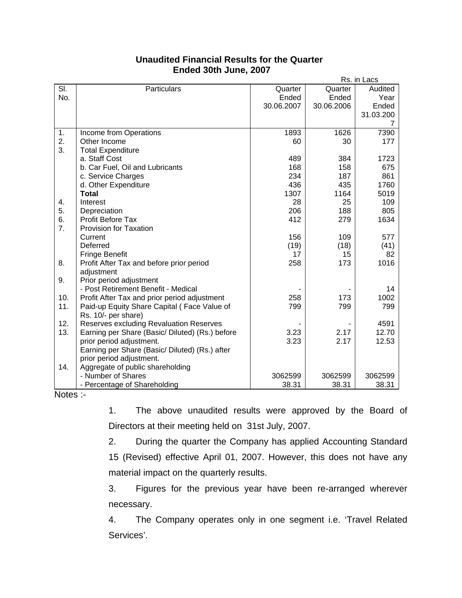|     |                                                 | Rs. in Lacs |            |           |
|-----|-------------------------------------------------|-------------|------------|-----------|
| SI. | Particulars                                     | Quarter     | Quarter    | Audited   |
| No. |                                                 | Ended       | Ended      | Year      |
|     |                                                 | 30.06.2007  | 30.06.2006 | Ended     |
|     |                                                 |             |            | 31.03.200 |
|     |                                                 |             |            | 7         |
| 1.  | Income from Operations                          | 1893        | 1626       | 7390      |
| 2.  | Other Income                                    | 60          | 30         | 177       |
| 3.  | <b>Total Expenditure</b>                        |             |            |           |
|     | a. Staff Cost                                   | 489         | 384        | 1723      |
|     | b. Car Fuel, Oil and Lubricants                 | 168         | 158        | 675       |
|     | c. Service Charges                              | 234         | 187        | 861       |
|     | d. Other Expenditure                            | 436         | 435        | 1760      |
|     | <b>Total</b>                                    | 1307        | 1164       | 5019      |
| 4.  | Interest                                        | 28          | 25         | 109       |
| 5.  | Depreciation                                    | 206         | 188        | 805       |
| 6.  | <b>Profit Before Tax</b>                        | 412         | 279        | 1634      |
| 7.  | <b>Provision for Taxation</b>                   |             |            |           |
|     | Current                                         | 156         | 109        | 577       |
|     | Deferred                                        | (19)        | (18)       | (41)      |
|     | <b>Fringe Benefit</b>                           | 17          | 15         | 82        |
| 8.  | Profit After Tax and before prior period        | 258         | 173        | 1016      |
|     | adjustment                                      |             |            |           |
| 9.  | Prior period adjustment                         |             |            |           |
|     | - Post Retirement Benefit - Medical             |             |            | 14        |
| 10. | Profit After Tax and prior period adjustment    | 258         | 173        | 1002      |
| 11. | Paid-up Equity Share Capital (Face Value of     | 799         | 799        | 799       |
|     | Rs. 10/- per share)                             |             |            |           |
| 12. | Reserves excluding Revaluation Reserves         |             |            | 4591      |
| 13. | Earning per Share (Basic/ Diluted) (Rs.) before | 3.23        | 2.17       | 12.70     |
|     | prior period adjustment.                        | 3.23        | 2.17       | 12.53     |
|     | Earning per Share (Basic/ Diluted) (Rs.) after  |             |            |           |
|     | prior period adjustment.                        |             |            |           |
| 14. | Aggregate of public shareholding                |             |            |           |
|     | - Number of Shares                              | 3062599     | 3062599    | 3062599   |
|     | - Percentage of Shareholding                    | 38.31       | 38.31      | 38.31     |

## **Unaudited Financial Results for the Quarter Ended 30th June, 2007** Research **Research**

Notes :-

 1. The above unaudited results were approved by the Board of Directors at their meeting held on 31st July, 2007.

 2. During the quarter the Company has applied Accounting Standard 15 (Revised) effective April 01, 2007. However, this does not have any material impact on the quarterly results.

 3. Figures for the previous year have been re-arranged wherever necessary.

 4. The Company operates only in one segment i.e. 'Travel Related Services'.